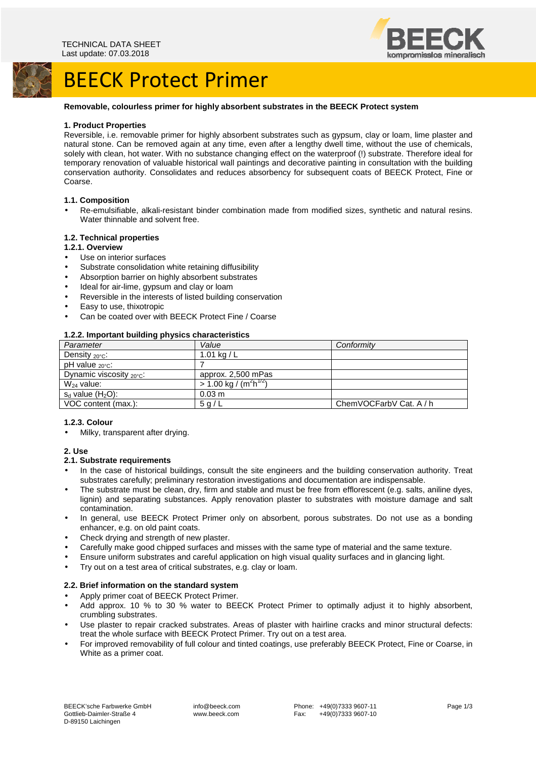



# BEECK Protect Primer

## **Removable, colourless primer for highly absorbent substrates in the BEECK Protect system**

#### **1. Product Properties**

Reversible, i.e. removable primer for highly absorbent substrates such as gypsum, clay or loam, lime plaster and natural stone. Can be removed again at any time, even after a lengthy dwell time, without the use of chemicals, solely with clean, hot water. With no substance changing effect on the waterproof (!) substrate. Therefore ideal for temporary renovation of valuable historical wall paintings and decorative painting in consultation with the building conservation authority. Consolidates and reduces absorbency for subsequent coats of BEECK Protect, Fine or Coarse.

## **1.1. Composition**

• Re-emulsifiable, alkali-resistant binder combination made from modified sizes, synthetic and natural resins. Water thinnable and solvent free.

## **1.2. Technical properties**

#### **1.2.1. Overview**

- Use on interior surfaces
- Substrate consolidation white retaining diffusibility
- Absorption barrier on highly absorbent substrates
- Ideal for air-lime, gypsum and clay or loam
- Reversible in the interests of listed building conservation
- Easy to use, thixotropic
- Can be coated over with BEECK Protect Fine / Coarse

## **1.2.2. Important building physics characteristics**

| Parameter                            | Value                               | Conformity              |
|--------------------------------------|-------------------------------------|-------------------------|
| Density $20^{\circ}$ C:              | 1.01 kg / $L$                       |                         |
| pH value $_{20\degree}$ C:           |                                     |                         |
| Dynamic viscosity $_{20^{\circ}C}$ : | approx. 2,500 mPas                  |                         |
| $W_{24}$ value:                      | $> 1.00 \text{ kg} / (m^2 h^{1/2})$ |                         |
| $s_d$ value $(H_2O)$ :               | $0.03 \text{ m}$                    |                         |
| VOC content (max.):                  | 5q/L                                | ChemVOCFarbV Cat. A / h |

#### **1.2.3. Colour**

• Milky, transparent after drying.

#### **2. Use**

#### **2.1. Substrate requirements**

- In the case of historical buildings, consult the site engineers and the building conservation authority. Treat substrates carefully; preliminary restoration investigations and documentation are indispensable.
- The substrate must be clean, dry, firm and stable and must be free from efflorescent (e.g. salts, aniline dyes, lignin) and separating substances. Apply renovation plaster to substrates with moisture damage and salt contamination.
- In general, use BEECK Protect Primer only on absorbent, porous substrates. Do not use as a bonding enhancer, e.g. on old paint coats.
- Check drying and strength of new plaster.
- Carefully make good chipped surfaces and misses with the same type of material and the same texture.
- Ensure uniform substrates and careful application on high visual quality surfaces and in glancing light.
- Try out on a test area of critical substrates, e.g. clay or loam.

#### **2.2. Brief information on the standard system**

- Apply primer coat of BEECK Protect Primer.
- Add approx. 10 % to 30 % water to BEECK Protect Primer to optimally adjust it to highly absorbent, crumbling substrates.
- Use plaster to repair cracked substrates. Areas of plaster with hairline cracks and minor structural defects: treat the whole surface with BEECK Protect Primer. Try out on a test area.
- For improved removability of full colour and tinted coatings, use preferably BEECK Protect, Fine or Coarse, in White as a primer coat.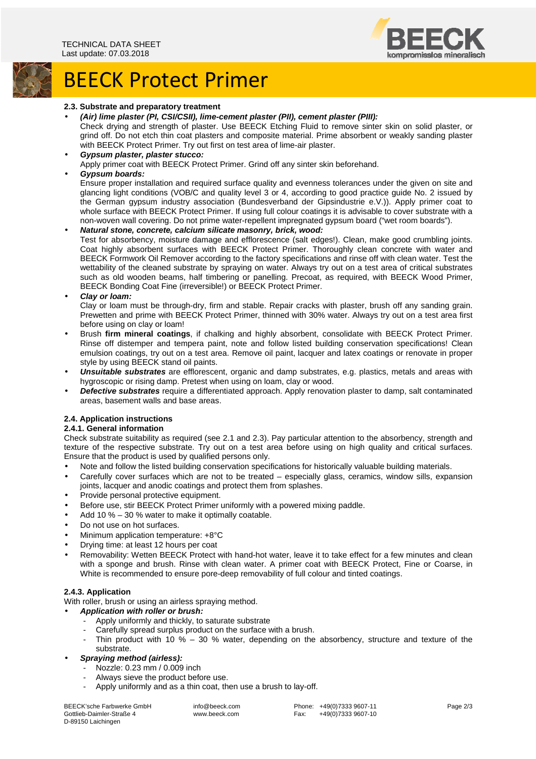

# BEECK Protect Primer

#### **2.3. Substrate and preparatory treatment**

• **(Air) lime plaster (PI, CSI/CSII), lime-cement plaster (PII), cement plaster (PIII):** 

Check drying and strength of plaster. Use BEECK Etching Fluid to remove sinter skin on solid plaster, or grind off. Do not etch thin coat plasters and composite material. Prime absorbent or weakly sanding plaster with BEECK Protect Primer. Try out first on test area of lime-air plaster.

• **Gypsum plaster, plaster stucco:** 

Apply primer coat with BEECK Protect Primer. Grind off any sinter skin beforehand.

## • **Gypsum boards:**

Ensure proper installation and required surface quality and evenness tolerances under the given on site and glancing light conditions (VOB/C and quality level 3 or 4, according to good practice guide No. 2 issued by the German gypsum industry association (Bundesverband der Gipsindustrie e.V.)). Apply primer coat to whole surface with BEECK Protect Primer. If using full colour coatings it is advisable to cover substrate with a non-woven wall covering. Do not prime water-repellent impregnated gypsum board ("wet room boards").

• **Natural stone, concrete, calcium silicate masonry, brick, wood:**  Test for absorbency, moisture damage and efflorescence (salt edges!). Clean, make good crumbling joints. Coat highly absorbent surfaces with BEECK Protect Primer. Thoroughly clean concrete with water and BEECK Formwork Oil Remover according to the factory specifications and rinse off with clean water. Test the wettability of the cleaned substrate by spraying on water. Always try out on a test area of critical substrates such as old wooden beams, half timbering or panelling. Precoat, as required, with BEECK Wood Primer, BEECK Bonding Coat Fine (irreversible!) or BEECK Protect Primer.

• **Clay or loam:** 

Clay or loam must be through-dry, firm and stable. Repair cracks with plaster, brush off any sanding grain. Prewetten and prime with BEECK Protect Primer, thinned with 30% water. Always try out on a test area first before using on clay or loam!

- Brush **firm mineral coatings**, if chalking and highly absorbent, consolidate with BEECK Protect Primer. Rinse off distemper and tempera paint, note and follow listed building conservation specifications! Clean emulsion coatings, try out on a test area. Remove oil paint, lacquer and latex coatings or renovate in proper style by using BEECK stand oil paints.
- **Unsuitable substrates** are efflorescent, organic and damp substrates, e.g. plastics, metals and areas with hygroscopic or rising damp. Pretest when using on loam, clay or wood.
- **Defective substrates** require a differentiated approach. Apply renovation plaster to damp, salt contaminated areas, basement walls and base areas.

# **2.4. Application instructions**

# **2.4.1. General information**

Check substrate suitability as required (see 2.1 and 2.3). Pay particular attention to the absorbency, strength and texture of the respective substrate. Try out on a test area before using on high quality and critical surfaces. Ensure that the product is used by qualified persons only.

- Note and follow the listed building conservation specifications for historically valuable building materials.
- Carefully cover surfaces which are not to be treated especially glass, ceramics, window sills, expansion joints, lacquer and anodic coatings and protect them from splashes.
- Provide personal protective equipment.
- Before use, stir BEECK Protect Primer uniformly with a powered mixing paddle.
- Add 10 % 30 % water to make it optimally coatable.
- Do not use on hot surfaces.
- Minimum application temperature: +8°C
- Drying time: at least 12 hours per coat
- Removability: Wetten BEECK Protect with hand-hot water, leave it to take effect for a few minutes and clean with a sponge and brush. Rinse with clean water. A primer coat with BEECK Protect, Fine or Coarse, in White is recommended to ensure pore-deep removability of full colour and tinted coatings.

# **2.4.3. Application**

With roller, brush or using an airless spraying method.

- **Application with roller or brush:** 
	- Apply uniformly and thickly, to saturate substrate
	- Carefully spread surplus product on the surface with a brush.
	- Thin product with 10  $%$  30  $%$  water, depending on the absorbency, structure and texture of the substrate.
- **Spraying method (airless):** 
	- Nozzle: 0.23 mm / 0.009 inch
	- Always sieve the product before use.
	- Apply uniformly and as a thin coat, then use a brush to lay-off.

BEECK'sche Farbwerke GmbH Gottlieb-Daimler-Straße 4 D-89150 Laichingen

 info@beeck.com www.beeck.com

Phone: +49(0)7333 9607-11<br>Fax: +49(0)7333 9607-10 +49(0)7333 9607-10